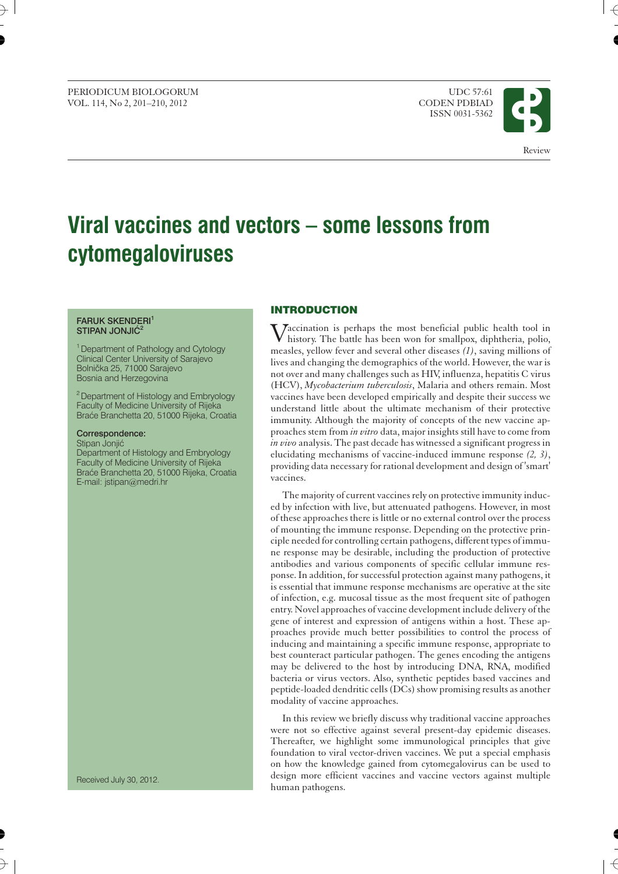#### PERIODICUM BIOLOGORUM UDC 57:61 VOL. 114, No 2, 201-210, 2012

ISSN 0031-5362



## **Viral vaccines and vectors – some lessons from cytomegaloviruses**

#### **FARUK SKENDERI**<sup>1</sup> **STIPAN JONJIĆ<sup>2</sup>**

<sup>1</sup> Department of Pathology and Cytology Clinical Center University of Sarajevo Bolnička 25, 71000 Sarajevo Bosnia and Herzegovina

2Department of Histology and Embryology Faculty of Medicine University of Rijeka Braće Branchetta 20, 51000 Rijeka, Croatia

#### **Correspondence:**

Stipan Jonjić

Department of Histology and Embryology Faculty of Medicine University of Rijeka Braće Branchetta 20, 51000 Rijeka, Croatia E-mail: jstipan*@*medri.hr

# **INTRODUCTION**

Vaccination is perhaps the most beneficial public health tool in history. The battle has been won for smallpox, diphtheria, polio, measles, yellow fever and several other diseases *(1)*, saving millions of lives and changing the demographics of the world. However, the war is not over and many challenges such as HIV, influenza, hepatitis C virus (HCV), *Mycobacterium tuberculosis*, Malaria and others remain. Most vaccines have been developed empirically and despite their success we understand little about the ultimate mechanism of their protective immunity. Although the majority of concepts of the new vaccine approaches stem from *in vitro* data, major insights still have to come from *in vivo* analysis. The past decade has witnessed a significant progress in elucidating mechanisms of vaccine-induced immune response *(2, 3)*, providing data necessary for rational development and design of 'smart' vaccines.

The majority of current vaccines rely on protective immunity induced by infection with live, but attenuated pathogens. However, in most of these approaches there is little or no external control over the process of mounting the immune response. Depending on the protective principle needed for controlling certain pathogens, different types of immune response may be desirable, including the production of protective antibodies and various components of specific cellular immune response. In addition, for successful protection against many pathogens, it is essential that immune response mechanisms are operative at the site of infection, e.g. mucosal tissue as the most frequent site of pathogen entry. Novel approaches of vaccine development include delivery of the gene of interest and expression of antigens within a host. These approaches provide much better possibilities to control the process of inducing and maintaining a specific immune response, appropriate to best counteract particular pathogen. The genes encoding the antigens may be delivered to the host by introducing DNA, RNA, modified bacteria or virus vectors. Also, synthetic peptides based vaccines and peptide-loaded dendritic cells (DCs) show promising results as another modality of vaccine approaches.

In this review we briefly discuss why traditional vaccine approaches were not so effective against several present-day epidemic diseases. Thereafter, we highlight some immunological principles that give foundation to viral vector-driven vaccines. We put a special emphasis on how the knowledge gained from cytomegalovirus can be used to design more efficient vaccines and vaccine vectors against multiple human pathogens.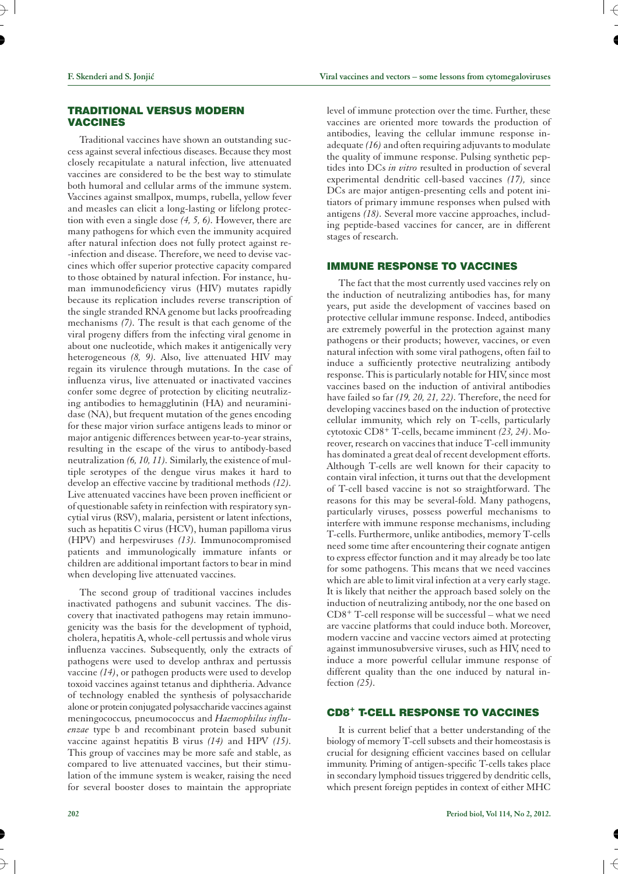## **TRADITIONAL VERSUS MODERN VACCINES**

Traditional vaccines have shown an outstanding success against several infectious diseases. Because they most closely recapitulate a natural infection, live attenuated vaccines are considered to be the best way to stimulate both humoral and cellular arms of the immune system. Vaccines against smallpox, mumps, rubella, yellow fever and measles can elicit a long-lasting or lifelong protection with even a single dose *(4, 5, 6).* However, there are many pathogens for which even the immunity acquired after natural infection does not fully protect against re- -infection and disease. Therefore, we need to devise vaccines which offer superior protective capacity compared to those obtained by natural infection. For instance, human immunodeficiency virus (HIV) mutates rapidly because its replication includes reverse transcription of the single stranded RNA genome but lacks proofreading mechanisms *(7).* The result is that each genome of the viral progeny differs from the infecting viral genome in about one nucleotide, which makes it antigenically very heterogeneous *(8, 9).* Also, live attenuated HIV may regain its virulence through mutations. In the case of influenza virus, live attenuated or inactivated vaccines confer some degree of protection by eliciting neutralizing antibodies to hemagglutinin (HA) and neuraminidase (NA), but frequent mutation of the genes encoding for these major virion surface antigens leads to minor or major antigenic differences between year-to-year strains, resulting in the escape of the virus to antibody-based neutralization *(6, 10, 11).* Similarly, the existence of multiple serotypes of the dengue virus makes it hard to develop an effective vaccine by traditional methods *(12).* Live attenuated vaccines have been proven inefficient or of questionable safety in reinfection with respiratory syncytial virus (RSV), malaria, persistent or latent infections, such as hepatitis C virus (HCV), human papilloma virus (HPV) and herpesviruses *(13).* Immunocompromised patients and immunologically immature infants or children are additional important factors to bear in mind when developing live attenuated vaccines.

The second group of traditional vaccines includes inactivated pathogens and subunit vaccines. The discovery that inactivated pathogens may retain immunogenicity was the basis for the development of typhoid, cholera, hepatitis A, whole-cell pertussis and whole virus influenza vaccines. Subsequently, only the extracts of pathogens were used to develop anthrax and pertussis vaccine *(14)*, or pathogen products were used to develop toxoid vaccines against tetanus and diphtheria. Advance of technology enabled the synthesis of polysaccharide alone or protein conjugated polysaccharide vaccines against meningococcus*,* pneumococcus and *Haemophilus influenzae* type b and recombinant protein based subunit vaccine against hepatitis B virus *(14)* and HPV *(15).* This group of vaccines may be more safe and stable, as compared to live attenuated vaccines, but their stimulation of the immune system is weaker, raising the need for several booster doses to maintain the appropriate

level of immune protection over the time. Further, these vaccines are oriented more towards the production of antibodies, leaving the cellular immune response inadequate *(16)* and often requiring adjuvants to modulate the quality of immune response. Pulsing synthetic peptides into DCs *in vitro* resulted in production of several experimental dendritic cell-based vaccines *(17),* since DCs are major antigen-presenting cells and potent initiators of primary immune responses when pulsed with antigens *(18).* Several more vaccine approaches, including peptide-based vaccines for cancer, are in different stages of research.

## **IMMUNE RESPONSE TO VACCINES**

The fact that the most currently used vaccines rely on the induction of neutralizing antibodies has, for many years, put aside the development of vaccines based on protective cellular immune response. Indeed, antibodies are extremely powerful in the protection against many pathogens or their products; however, vaccines, or even natural infection with some viral pathogens, often fail to induce a sufficiently protective neutralizing antibody response. This is particularly notable for HIV, since most vaccines based on the induction of antiviral antibodies have failed so far *(19, 20, 21, 22).* Therefore, the need for developing vaccines based on the induction of protective cellular immunity, which rely on T-cells, particularly cytotoxic CD8+ T-cells, became imminent *(23, 24)*. Moreover, research on vaccines that induce T-cell immunity has dominated a great deal of recent development efforts. Although T-cells are well known for their capacity to contain viral infection, it turns out that the development of T-cell based vaccine is not so straightforward. The reasons for this may be several-fold. Many pathogens, particularly viruses, possess powerful mechanisms to interfere with immune response mechanisms, including T-cells. Furthermore, unlike antibodies, memory T-cells need some time after encountering their cognate antigen to express effector function and it may already be too late for some pathogens. This means that we need vaccines which are able to limit viral infection at a very early stage. It is likely that neither the approach based solely on the induction of neutralizing antibody, nor the one based on CD8+ T-cell response will be successful – what we need are vaccine platforms that could induce both. Moreover, modern vaccine and vaccine vectors aimed at protecting against immunosubversive viruses, such as HIV, need to induce a more powerful cellular immune response of different quality than the one induced by natural infection *(25).*

## **CD8+ T-CELL RESPONSE TO VACCINES**

It is current belief that a better understanding of the biology of memory T-cell subsets and their homeostasis is crucial for designing efficient vaccines based on cellular immunity. Priming of antigen-specific T-cells takes place in secondary lymphoid tissues triggered by dendritic cells, which present foreign peptides in context of either MHC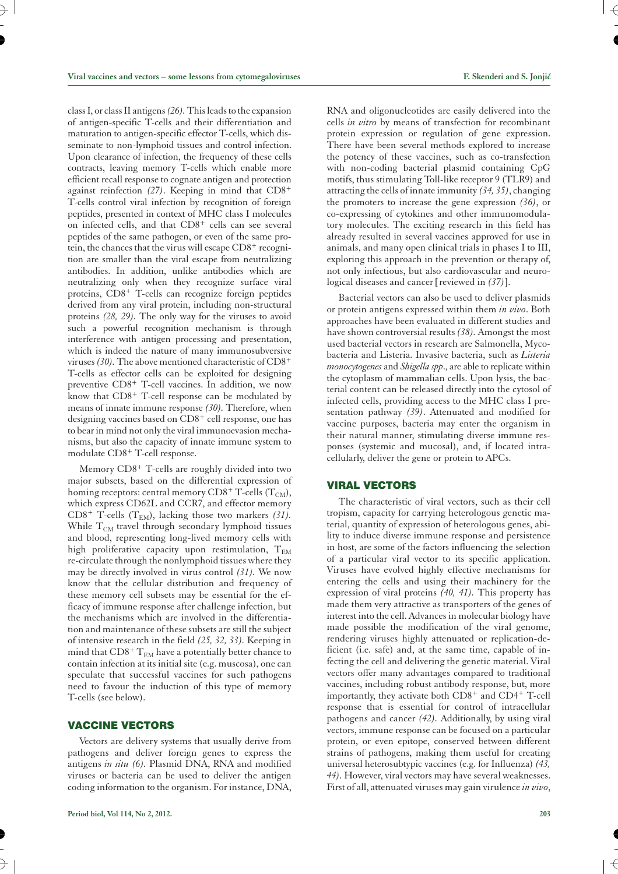class I, or class II antigens*(26).*This leads to the expansion of antigen-specific T-cells and their differentiation and maturation to antigen-specific effector T-cells, which disseminate to non-lymphoid tissues and control infection. Upon clearance of infection, the frequency of these cells contracts, leaving memory T-cells which enable more efficient recall response to cognate antigen and protection against reinfection *(27)*. Keeping in mind that CD8+ T-cells control viral infection by recognition of foreign peptides, presented in context of MHC class I molecules on infected cells, and that CD8+ cells can see several peptides of the same pathogen, or even of the same protein, the chances that the virus will escape  $CD8<sup>+</sup>$  recognition are smaller than the viral escape from neutralizing antibodies. In addition, unlike antibodies which are neutralizing only when they recognize surface viral proteins, CD8+ T-cells can recognize foreign peptides derived from any viral protein, including non-structural proteins *(28, 29).* The only way for the viruses to avoid such a powerful recognition mechanism is through interference with antigen processing and presentation, which is indeed the nature of many immunosubversive viruses*(30).*The above mentioned characteristic of CD8+ T-cells as effector cells can be exploited for designing preventive CD8+ T-cell vaccines. In addition, we now know that CD8+ T-cell response can be modulated by means of innate immune response *(30).* Therefore, when designing vaccines based on CD8<sup>+</sup> cell response, one has to bear in mind not only the viral immunoevasion mechanisms, but also the capacity of innate immune system to modulate CD8+ T-cell response.

Memory CD8+ T-cells are roughly divided into two major subsets, based on the differential expression of homing receptors: central memory  $CD8^+$  T-cells (T<sub>CM</sub>), which express CD62L and CCR7, and effector memory  $CD8^+$  T-cells  $(T_{EM})$ , lacking those two markers (31). While  $T_{CM}$  travel through secondary lymphoid tissues and blood, representing long-lived memory cells with high proliferative capacity upon restimulation,  $T_{EM}$ re-circulate through the nonlymphoid tissues where they may be directly involved in virus control *(31).* We now know that the cellular distribution and frequency of these memory cell subsets may be essential for the efficacy of immune response after challenge infection, but the mechanisms which are involved in the differentiation and maintenance of these subsets are still the subject of intensive research in the field *(25, 32, 33).* Keeping in mind that  $CD8^+$  T<sub>EM</sub> have a potentially better chance to contain infection at its initial site (e.g. muscosa), one can speculate that successful vaccines for such pathogens need to favour the induction of this type of memory T-cells (see below).

#### **VACCINE VECTORS**

Vectors are delivery systems that usually derive from pathogens and deliver foreign genes to express the antigens *in situ (6).* Plasmid DNA, RNA and modified viruses or bacteria can be used to deliver the antigen coding information to the organism. For instance, DNA, RNA and oligonucleotides are easily delivered into the cells *in vitro* by means of transfection for recombinant protein expression or regulation of gene expression. There have been several methods explored to increase the potency of these vaccines, such as co-transfection with non-coding bacterial plasmid containing CpG motifs, thus stimulating Toll-like receptor 9 (TLR9) and attracting the cells of innate immunity *(34, 35)*, changing the promoters to increase the gene expression *(36)*, or co-expressing of cytokines and other immunomodulatory molecules. The exciting research in this field has already resulted in several vaccines approved for use in animals, and many open clinical trials in phases I to III, exploring this approach in the prevention or therapy of, not only infectious, but also cardiovascular and neurological diseases and cancer [reviewed in *(37)*].

Bacterial vectors can also be used to deliver plasmids or protein antigens expressed within them *in vivo*. Both approaches have been evaluated in different studies and have shown controversial results *(38).* Amongst the most used bacterial vectors in research are Salmonella, Mycobacteria and Listeria. Invasive bacteria, such as *Listeria monocytogenes* and *Shigella spp*., are able to replicate within the cytoplasm of mammalian cells. Upon lysis, the bacterial content can be released directly into the cytosol of infected cells, providing access to the MHC class I presentation pathway *(39)*. Attenuated and modified for vaccine purposes, bacteria may enter the organism in their natural manner, stimulating diverse immune responses (systemic and mucosal), and, if located intracellularly, deliver the gene or protein to APCs.

#### **VIRAL VECTORS**

The characteristic of viral vectors, such as their cell tropism, capacity for carrying heterologous genetic material, quantity of expression of heterologous genes, ability to induce diverse immune response and persistence in host, are some of the factors influencing the selection of a particular viral vector to its specific application. Viruses have evolved highly effective mechanisms for entering the cells and using their machinery for the expression of viral proteins *(40, 41).* This property has made them very attractive as transporters of the genes of interest into the cell. Advances in molecular biology have made possible the modification of the viral genome, rendering viruses highly attenuated or replication-deficient (i.e. safe) and, at the same time, capable of infecting the cell and delivering the genetic material. Viral vectors offer many advantages compared to traditional vaccines, including robust antibody response, but, more importantly, they activate both  $CD8<sup>+</sup>$  and  $CD4<sup>+</sup>$  T-cell response that is essential for control of intracellular pathogens and cancer *(42).* Additionally, by using viral vectors, immune response can be focused on a particular protein, or even epitope, conserved between different strains of pathogens, making them useful for creating universal heterosubtypic vaccines (e.g. for Influenza) *(43, 44).* However, viral vectors may have several weaknesses. First of all, attenuated viruses may gain virulence *in vivo*,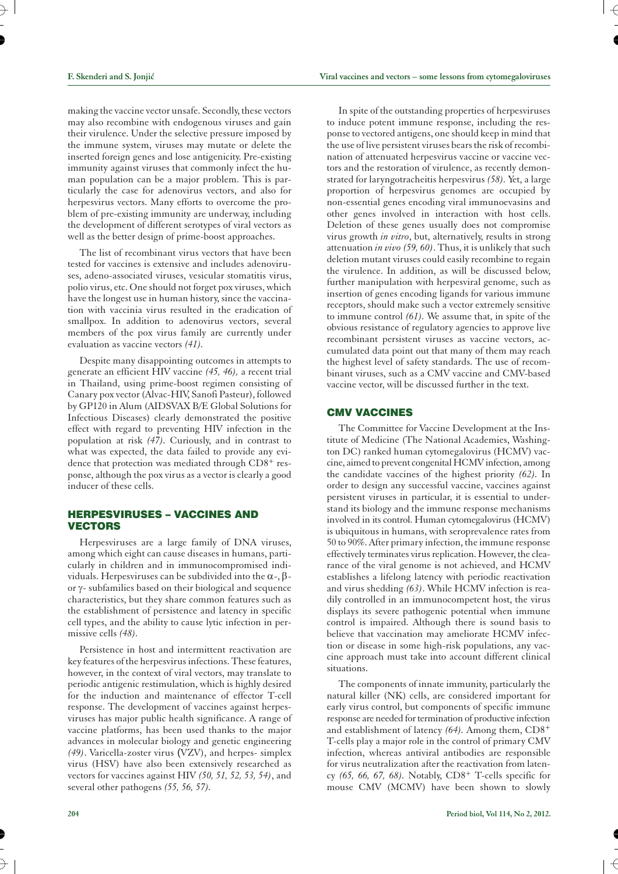making the vaccine vector unsafe. Secondly, these vectors may also recombine with endogenous viruses and gain their virulence. Under the selective pressure imposed by the immune system, viruses may mutate or delete the inserted foreign genes and lose antigenicity. Pre-existing immunity against viruses that commonly infect the human population can be a major problem. This is particularly the case for adenovirus vectors, and also for herpesvirus vectors. Many efforts to overcome the problem of pre-existing immunity are underway, including the development of different serotypes of viral vectors as well as the better design of prime-boost approaches.

The list of recombinant virus vectors that have been tested for vaccines is extensive and includes adenoviruses, adeno-associated viruses, vesicular stomatitis virus, polio virus, etc. One should not forget pox viruses, which have the longest use in human history, since the vaccination with vaccinia virus resulted in the eradication of smallpox. In addition to adenovirus vectors, several members of the pox virus family are currently under evaluation as vaccine vectors *(41).*

Despite many disappointing outcomes in attempts to generate an efficient HIV vaccine *(45, 46),* a recent trial in Thailand, using prime-boost regimen consisting of Canary pox vector (Alvac-HIV, Sanofi Pasteur), followed by GP120 in Alum (AIDSVAX B/E Global Solutions for Infectious Diseases) clearly demonstrated the positive effect with regard to preventing HIV infection in the population at risk *(47).* Curiously, and in contrast to what was expected, the data failed to provide any evidence that protection was mediated through CD8<sup>+</sup> response, although the pox virus as a vector is clearly a good inducer of these cells.

## **HERPESVIRUSES – VACCINES AND VECTORS**

Herpesviruses are a large family of DNA viruses, among which eight can cause diseases in humans, particularly in children and in immunocompromised individuals. Herpesviruses can be subdivided into the  $\alpha$ -,  $\beta$ or  $\gamma$ - subfamilies based on their biological and sequence characteristics, but they share common features such as the establishment of persistence and latency in specific cell types, and the ability to cause lytic infection in permissive cells *(48).*

Persistence in host and intermittent reactivation are key features of the herpesvirus infections. These features, however, in the context of viral vectors, may translate to periodic antigenic restimulation, which is highly desired for the induction and maintenance of effector T-cell response. The development of vaccines against herpesviruses has major public health significance. A range of vaccine platforms, has been used thanks to the major advances in molecular biology and genetic engineering *(49)*. Varicella-zoster virus *(*VZV), and herpes- simplex virus (HSV) have also been extensively researched as vectors for vaccines against HIV *(50, 51, 52, 53, 54)*, and several other pathogens *(55, 56, 57).*

In spite of the outstanding properties of herpesviruses to induce potent immune response, including the response to vectored antigens, one should keep in mind that the use of live persistent viruses bears the risk of recombination of attenuated herpesvirus vaccine or vaccine vectors and the restoration of virulence, as recently demonstrated for laryngotracheitis herpesvirus *(58).* Yet, a large proportion of herpesvirus genomes are occupied by non-essential genes encoding viral immunoevasins and other genes involved in interaction with host cells. Deletion of these genes usually does not compromise virus growth *in vitro*, but, alternatively, results in strong attenuation *in vivo (59, 60)*. Thus, it is unlikely that such deletion mutant viruses could easily recombine to regain the virulence. In addition, as will be discussed below, further manipulation with herpesviral genome, such as insertion of genes encoding ligands for various immune receptors, should make such a vector extremely sensitive to immune control *(61).* We assume that, in spite of the obvious resistance of regulatory agencies to approve live recombinant persistent viruses as vaccine vectors, accumulated data point out that many of them may reach the highest level of safety standards. The use of recombinant viruses, such as a CMV vaccine and CMV-based vaccine vector, will be discussed further in the text.

#### **CMV VACCINES**

The Committee for Vaccine Development at the Institute of Medicine (The National Academies, Washington DC) ranked human cytomegalovirus (HCMV) vaccine, aimed to prevent congenital HCMV infection, among the candidate vaccines of the highest priority *(62).* In order to design any successful vaccine, vaccines against persistent viruses in particular, it is essential to understand its biology and the immune response mechanisms involved in its control. Human cytomegalovirus (HCMV) is ubiquitous in humans, with seroprevalence rates from 50 to 90%. After primary infection, the immune response effectively terminates virus replication. However, the clearance of the viral genome is not achieved, and HCMV establishes a lifelong latency with periodic reactivation and virus shedding *(63)*. While HCMV infection is readily controlled in an immunocompetent host, the virus displays its severe pathogenic potential when immune control is impaired. Although there is sound basis to believe that vaccination may ameliorate HCMV infection or disease in some high-risk populations, any vaccine approach must take into account different clinical situations.

The components of innate immunity, particularly the natural killer (NK) cells, are considered important for early virus control, but components of specific immune response are needed for termination of productive infection and establishment of latency *(64).* Among them, CD8+ T-cells play a major role in the control of primary CMV infection, whereas antiviral antibodies are responsible for virus neutralization after the reactivation from latency *(65, 66, 67, 68).* Notably, CD8+ T-cells specific for mouse CMV (MCMV) have been shown to slowly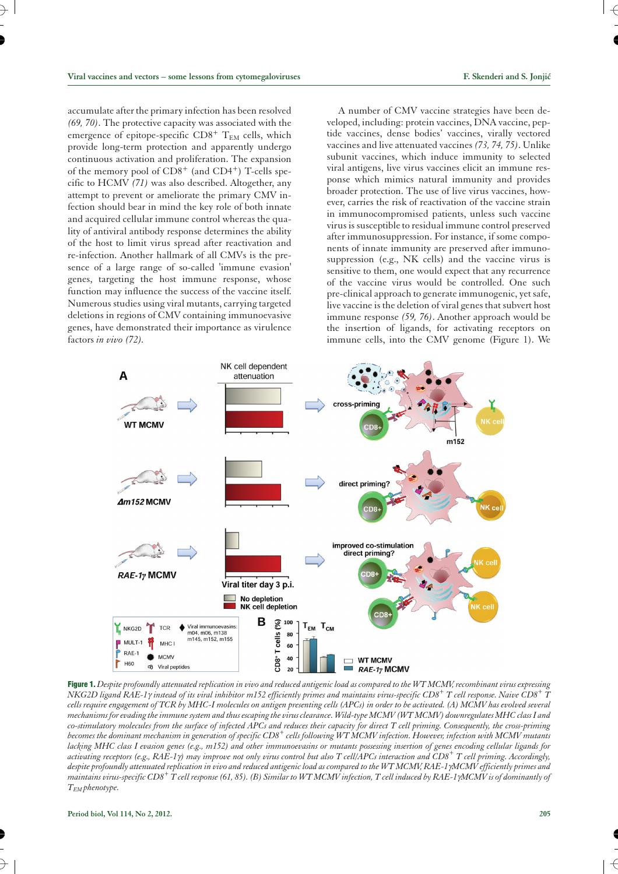accumulate after the primary infection has been resolved *(69, 70)*. The protective capacity was associated with the emergence of epitope-specific  $CD8^+$  T<sub>EM</sub> cells, which provide long-term protection and apparently undergo continuous activation and proliferation. The expansion of the memory pool of CD8<sup>+</sup> (and CD4<sup>+</sup>) T-cells specific to HCMV *(71)* was also described. Altogether, any attempt to prevent or ameliorate the primary CMV infection should bear in mind the key role of both innate and acquired cellular immune control whereas the quality of antiviral antibody response determines the ability of the host to limit virus spread after reactivation and re-infection. Another hallmark of all CMVs is the presence of a large range of so-called 'immune evasion' genes, targeting the host immune response, whose function may influence the success of the vaccine itself. Numerous studies using viral mutants, carrying targeted deletions in regions of CMV containing immunoevasive genes, have demonstrated their importance as virulence factors *in vivo (72).*

A number of CMV vaccine strategies have been developed, including: protein vaccines, DNA vaccine, peptide vaccines, dense bodies' vaccines, virally vectored vaccines and live attenuated vaccines *(73, 74, 75)*. Unlike subunit vaccines, which induce immunity to selected viral antigens, live virus vaccines elicit an immune response which mimics natural immunity and provides broader protection. The use of live virus vaccines, however, carries the risk of reactivation of the vaccine strain in immunocompromised patients, unless such vaccine virus is susceptible to residual immune control preserved after immunosuppression. For instance, if some components of innate immunity are preserved after immunosuppression (e.g., NK cells) and the vaccine virus is sensitive to them, one would expect that any recurrence of the vaccine virus would be controlled. One such pre-clinical approach to generate immunogenic, yet safe, live vaccine is the deletion of viral genes that subvert host immune response *(59, 76)*. Another approach would be the insertion of ligands, for activating receptors on immune cells, into the CMV genome (Figure 1). We



**Figure 1.** *Despite profoundly attenuated replication in vivo and reduced antigenic load as compared to the WT MCMV, recombinant virus expressing NKG2D ligand RAE-1<sup>g</sup> instead of its viral inhibitor m152 efficiently primes and maintains virus-specific CD8+ T cell response. Naive CD8+ <sup>T</sup> cells require engagement of TCR by MHC-I molecules on antigen presenting cells (APCs) in order to be activated. (A) MCMV has evolved several mechanisms for evading the immune system and thus escaping the virusclearance. Wild-type MCMV (WT MCMV) downregulates MHC class I and co-stimulatory molecules from the surface of infected APCs and reduces their capacity for direct T cell priming. Consequently, the cross-priming becomes the dominant mechanism in generation of specific CD8+ cells following WT MCMV infection. However, infection with MCMV mutants lacking MHC class I evasion genes (e.g., m152) and other immunoevasins or mutants possessing insertion of genes encoding cellular ligands for activating receptors (e.g., RAE-1g) may improve not only virus control but also T cell/APCs interaction and CD8+ T cell priming. Accordingly, despite profoundly attenuated replication in vivo and reduced antigenic load as compared to the WT MCMV, RAE-1gMCMV efficiently primes and maintains virus-specific CD8+ T cell response (61, 85). (B) Similar to WT MCMV infection, T cell induced by RAE-1gMCMV is of dominantly of TEM phenotype.*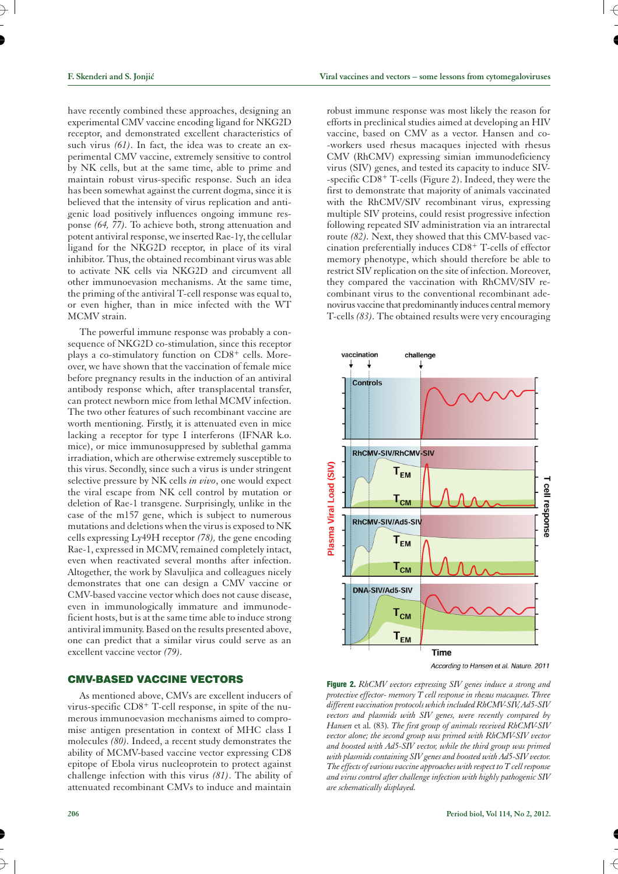have recently combined these approaches, designing an experimental CMV vaccine encoding ligand for NKG2D receptor, and demonstrated excellent characteristics of such virus *(61)*. In fact, the idea was to create an experimental CMV vaccine, extremely sensitive to control by NK cells, but at the same time, able to prime and maintain robust virus-specific response. Such an idea has been somewhat against the current dogma, since it is believed that the intensity of virus replication and antigenic load positively influences ongoing immune response *(64, 77).* To achieve both, strong attenuation and potent antiviral response, we inserted Rae-1 $\gamma$ , the cellular ligand for the NKG2D receptor, in place of its viral inhibitor. Thus, the obtained recombinant virus was able to activate NK cells via NKG2D and circumvent all other immunoevasion mechanisms. At the same time, the priming of the antiviral T-cell response was equal to, or even higher, than in mice infected with the WT MCMV strain.

The powerful immune response was probably a consequence of NKG2D co-stimulation, since this receptor plays a co-stimulatory function on CD8<sup>+</sup> cells. Moreover, we have shown that the vaccination of female mice before pregnancy results in the induction of an antiviral antibody response which, after transplacental transfer, can protect newborn mice from lethal MCMV infection. The two other features of such recombinant vaccine are worth mentioning. Firstly, it is attenuated even in mice lacking a receptor for type I interferons (IFNAR k.o. mice), or mice immunosuppresed by sublethal gamma irradiation, which are otherwise extremely susceptible to this virus. Secondly, since such a virus is under stringent selective pressure by NK cells *in vivo*, one would expect the viral escape from NK cell control by mutation or deletion of Rae-1 transgene. Surprisingly, unlike in the case of the m157 gene, which is subject to numerous mutations and deletions when the virus is exposed to NK cells expressing Ly49H receptor *(78),* the gene encoding Rae-1, expressed in MCMV, remained completely intact, even when reactivated several months after infection. Altogether, the work by Slavuljica and colleagues nicely demonstrates that one can design a CMV vaccine or CMV-based vaccine vector which does not cause disease, even in immunologically immature and immunodeficient hosts, but is at the same time able to induce strong antiviral immunity. Based on the results presented above, one can predict that a similar virus could serve as an excellent vaccine vector *(79).*

## **CMV-BASED VACCINE VECTORS**

As mentioned above, CMVs are excellent inducers of virus-specific CD8+ T-cell response, in spite of the numerous immunoevasion mechanisms aimed to compromise antigen presentation in context of MHC class I molecules *(80).* Indeed, a recent study demonstrates the ability of MCMV-based vaccine vector expressing CD8 epitope of Ebola virus nucleoprotein to protect against challenge infection with this virus *(81)*. The ability of attenuated recombinant CMVs to induce and maintain

robust immune response was most likely the reason for efforts in preclinical studies aimed at developing an HIV vaccine, based on CMV as a vector. Hansen and co- -workers used rhesus macaques injected with rhesus CMV (RhCMV) expressing simian immunodeficiency virus (SIV) genes, and tested its capacity to induce SIV- -specific CD8+ T-cells (Figure 2). Indeed, they were the first to demonstrate that majority of animals vaccinated with the RhCMV/SIV recombinant virus, expressing multiple SIV proteins, could resist progressive infection following repeated SIV administration via an intrarectal route *(82).* Next, they showed that this CMV-based vaccination preferentially induces CD8+ T-cells of effector memory phenotype, which should therefore be able to restrict SIV replication on the site of infection. Moreover, they compared the vaccination with RhCMV/SIV recombinant virus to the conventional recombinant adenovirus vaccine that predominantly induces central memory T-cells *(83).* The obtained results were very encouraging



According to Hansen et al. Nature. 2011

**Figure 2.** *RhCMV vectors expressing SIV genes induce a strong and protective effector- memory T cell response in rhesus macaques. Three different vaccination protocols which included RhCMV-SIV, Ad5-SIV vectors and plasmids with SIV genes, were recently compared by Hansen* et al. (83)*. The first group of animals received RhCMV-SIV vector alone; the second group was primed with RhCMV-SIV vector and boosted with Ad5-SIV vector, while the third group was primed with plasmids containing SIV genes and boosted with Ad5-SIV vector. The effects of various vaccine approaches with respect to T cell response and virus control after challenge infection with highly pathogenic SIV are schematically displayed.*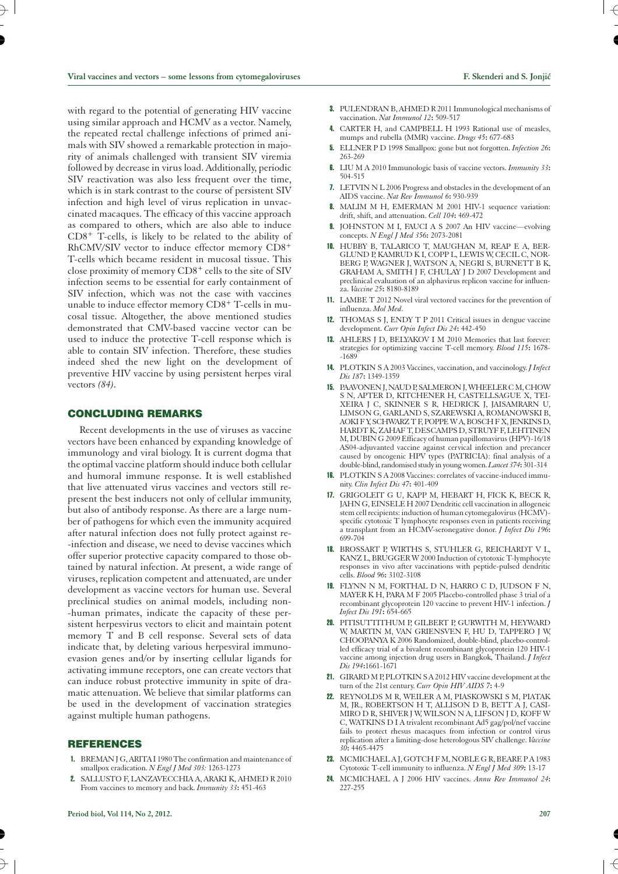with regard to the potential of generating HIV vaccine using similar approach and HCMV as a vector. Namely, the repeated rectal challenge infections of primed animals with SIV showed a remarkable protection in majority of animals challenged with transient SIV viremia followed by decrease in virus load. Additionally, periodic SIV reactivation was also less frequent over the time, which is in stark contrast to the course of persistent SIV infection and high level of virus replication in unvaccinated macaques. The efficacy of this vaccine approach as compared to others, which are also able to induce CD8+ T-cells, is likely to be related to the ability of RhCMV/SIV vector to induce effector memory CD8+ T-cells which became resident in mucosal tissue. This close proximity of memory CD8+ cells to the site of SIV infection seems to be essential for early containment of SIV infection, which was not the case with vaccines unable to induce effector memory CD8+ T-cells in mucosal tissue. Altogether, the above mentioned studies demonstrated that CMV-based vaccine vector can be used to induce the protective T-cell response which is able to contain SIV infection. Therefore, these studies indeed shed the new light on the development of preventive HIV vaccine by using persistent herpes viral vectors *(84).*

## **CONCLUDING REMARKS**

Recent developments in the use of viruses as vaccine vectors have been enhanced by expanding knowledge of immunology and viral biology. It is current dogma that the optimal vaccine platform should induce both cellular and humoral immune response. It is well established that live attenuated virus vaccines and vectors still represent the best inducers not only of cellular immunity, but also of antibody response. As there are a large number of pathogens for which even the immunity acquired after natural infection does not fully protect against re- -infection and disease, we need to devise vaccines which offer superior protective capacity compared to those obtained by natural infection. At present, a wide range of viruses, replication competent and attenuated, are under development as vaccine vectors for human use. Several preclinical studies on animal models, including non- -human primates, indicate the capacity of these persistent herpesvirus vectors to elicit and maintain potent memory T and B cell response. Several sets of data indicate that, by deleting various herpesviral immunoevasion genes and/or by inserting cellular ligands for activating immune receptors, one can create vectors that can induce robust protective immunity in spite of dramatic attenuation. We believe that similar platforms can be used in the development of vaccination strategies against multiple human pathogens.

#### **REFERENCES**

- 1. BREMAN J G, ARITA I 1980 The confirmation and maintenance of smallpox eradication. *N Engl J Med 303:* 1263-1273
- 2. SALLUSTO F, LANZAVECCHIA A, ARAKI K, AHMED R 2010 From vaccines to memory and back. *Immunity 33***:** 451-463
- 3. PULENDRAN B, AHMED R 2011 Immunological mechanisms of vaccination. *Nat Immunol 12***:** 509-517
- 4. CARTER H, and CAMPBELL H 1993 Rational use of measles, mumps and rubella (MMR) vaccine. *Drugs 45***:** 677-683
- 5. ELLNER P D 1998 Smallpox: gone but not forgotten. *Infection 26***:** 263-269
- 6. LIU M A 2010 Immunologic basis of vaccine vectors. *Immunity 33***:** 504-515
- 7. LETVIN N L 2006 Progress and obstacles in the development of an AIDS vaccine. *Nat Rev Immunol 6***:** 930-939
- 8. MALIM M H, EMERMAN M 2001 HIV-1 sequence variation: drift, shift, and attenuation. *Cell 104***:** 469-472
- 9. JOHNSTON M I, FAUCI A S 2007 An HIV vaccine—evolving concepts. *N Engl J Med 356***:** 2073-2081
- 10. HUBBY B, TALARICO T, MAUGHAN M, REAP E A, BER-GLUND P, KAMRUD K I, COPP L, LEWIS W, CECIL C, NOR-BERG P, WAGNER J, WATSON A, NEGRI S, BURNETT B K, GRAHAM A, SMITH J F, CHULAY J D 2007 Development and preclinical evaluation of an alphavirus replicon vaccine for influenza. *Vaccine 25***:** 8180-8189
- 11. LAMBE T 2012 Novel viral vectored vaccines for the prevention of influenza. *Mol Med*.
- 12. THOMAS S J, ENDY T P 2011 Critical issues in dengue vaccine development. *Curr Opin Infect Dis 24***:** 442-450
- 13. AHLERS J D, BELYAKOV I M 2010 Memories that last forever: strategies for optimizing vaccine T-cell memory. *Blood 115***:** 1678- -1689
- 14. PLOTKIN S A 2003 Vaccines, vaccination, and vaccinology. *J Infect Dis 187***:** 1349-1359
- 15. PAAVONEN J, NAUD P, SALMERON J, WHEELER C M, CHOW S N, APTER D, KITCHENER H, CASTELLSAGUE X, TEI-XEIRA J C, SKINNER S R, HEDRICK J, JAISAMRARN U, LIMSON G, GARLAND S, SZAREWSKI A, ROMANOWSKI B, AOKI F Y, SCHWARZ T F, POPPE W A, BOSCH F X, JENKINS D, HARDT K, ZAHAF T, DESCAMPS D, STRUYF F, LEHTINEN M, DUBIN G 2009 Efficacy of human papillomavirus (HPV)-16/18 AS04-adjuvanted vaccine against cervical infection and precancer caused by oncogenic HPV types (PATRICIA): final analysis of a double-blind, randomised study in young women.*Lancet 374***:** 301-314
- 16. PLOTKIN S A 2008 Vaccines: correlates of vaccine-induced immunity. *Clin Infect Dis 47***:** 401-409
- 17. GRIGOLEIT G U, KAPP M, HEBART H, FICK K, BECK R, JAHN G, EINSELE H 2007 Dendritic cell vaccination in allogeneic stem cell recipients: induction of human cytomegalovirus (HCMV) specific cytotoxic T lymphocyte responses even in patients receiving a transplant from an HCMV-seronegative donor. *J Infect Dis 196***:** 699-704
- 18. BROSSART P, WIRTHS S, STUHLER G, REICHARDT V L, KANZ L, BRUGGER W 2000 Induction of cytotoxic T-lymphocyte responses in vivo after vaccinations with peptide-pulsed dendritic cells. *Blood 96***:** 3102-3108
- 19. FLYNN N M, FORTHAL D N, HARRO C D, JUDSON F N, MAYER K H, PARA M F 2005 Placebo-controlled phase 3 trial of a recombinant glycoprotein 120 vaccine to prevent HIV-1 infection. *J Infect Dis 191***:** 654-665
- 20. PITISUTTITHUM P, GILBERT P, GURWITH M, HEYWARD W, MARTIN M, VAN GRIENSVEN F, HU D, TAPPERO J W, CHOOPANYA K 2006 Randomized, double-blind, placebo-controlled efficacy trial of a bivalent recombinant glycoprotein 120 HIV-1 vaccine among injection drug users in Bangkok, Thailand. *J Infect Dis 194***:**1661-1671
- 21. GIRARD M P, PLOTKIN S A 2012 HIV vaccine development at the turn of the 21st century. *Curr Opin HIV AIDS 7***:** 4-9
- 22. REYNOLDS M R, WEILER A M, PIASKOWSKI S M, PIATAK M, JR., ROBERTSON H T, ALLISON D B, BETT A J, CASI-MIRO D R, SHIVER J W, WILSON N A, LIFSON J D, KOFF W C, WATKINS D I A trivalent recombinant Ad5 gag/pol/nef vaccine fails to protect rhesus macaques from infection or control virus replication after a limiting-dose heterologous SIV challenge. *Vaccine 30***:** 4465-4475
- 23. MCMICHAEL A J, GOTCH F M, NOBLE G R, BEARE P A 1983 Cytotoxic T-cell immunity to influenza. *N Engl J Med 309***:** 13-17
- 24. MCMICHAEL A J 2006 HIV vaccines. *Annu Rev Immunol 24***:** 227-255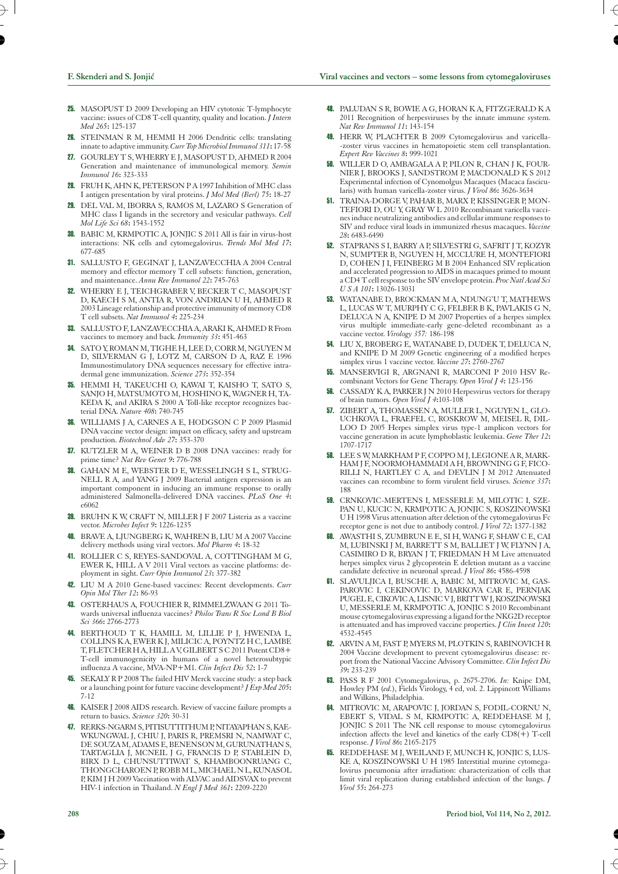- 25. MASOPUST D 2009 Developing an HIV cytotoxic T-lymphocyte vaccine: issues of CD8 T-cell quantity, quality and location. *J Intern Med 265***:** 125-137
- 26. STEINMAN R M, HEMMI H 2006 Dendritic cells: translating innate to adaptive immunity.*Curr Top Microbiol Immunol 311***:** 17-58
- 27. GOURLEY T S, WHERRY E J, MASOPUST D, AHMED R 2004 Generation and maintenance of immunological memory. *Semin Immunol 16***:** 323-333
- 28. FRUH K, AHN K, PETERSON P A 1997 Inhibition of MHC class I antigen presentation by viral proteins. *J Mol Med (Berl) 75***:** 18-27
- 29. DEL VAL M, IBORRA S, RAMOS M, LAZARO S Generation of MHC class I ligands in the secretory and vesicular pathways. *Cell Mol Life Sci 68***:** 1543-1552
- 30. BABIC M, KRMPOTIC A, JONJIC S 2011 All is fair in virus-host interactions: NK cells and cytomegalovirus. *Trends Mol Med 17***:** 677-685
- 31. SALLUSTO F, GEGINAT J, LANZAVECCHIA A 2004 Central memory and effector memory T cell subsets: function, generation, and maintenance. *Annu Rev Immunol 22***:** 745-763
- 32. WHERRY E J, TEICHGRABER V, BECKER T C, MASOPUST D, KAECH S M, ANTIA R, VON ANDRIAN U H, AHMED R 2003 Lineage relationship and protective immunity of memory CD8 T cell subsets. *Nat Immunol 4***:** 225-234
- 33. SALLUSTO F, LANZAVECCHIA A, ARAKI K, AHMED R From vaccines to memory and back. *Immunity 33***:** 451-463
- 34. SATO Y, ROMAN M, TIGHE H, LEE D, CORR M, NGUYEN M D, SILVERMAN G J, LOTZ M, CARSON D A, RAZ E 1996 Immunostimulatory DNA sequences necessary for effective intradermal gene immunization. *Science 273***:** 352-354
- 35. HEMMI H, TAKEUCHI O, KAWAI T, KAISHO T, SATO S, SANJO H, MATSUMOTO M, HOSHINO K, WAGNER H, TA-KEDA K, and AKIRA S 2000 A Toll-like receptor recognizes bacterial DNA. *Nature 408***:** 740-745
- 36. WILLIAMS J A, CARNES A E, HODGSON C P 2009 Plasmid DNA vaccine vector design: impact on efficacy, safety and upstream production. *Biotechnol Adv 27***:** 353-370
- 37. KUTZLER M A, WEINER D B 2008 DNA vaccines: ready for prime time? *Nat Rev Genet 9***:** 776-788
- GAHAN M E, WEBSTER D E, WESSELINGH S L, STRUG-NELL R A, and YANG J 2009 Bacterial antigen expression is an important component in inducing an immune response to orally administered Salmonella-delivered DNA vaccines. *PLoS One 4***:** e6062
- 39. BRUHN K W, CRAFT N, MILLER J F 2007 Listeria as a vaccine vector. *Microbes Infect 9***:** 1226-1235
- BRAVE A, LJUNGBERG K, WAHREN B, LIU M A 2007 Vaccine delivery methods using viral vectors. *Mol Pharm 4***:** 18-32
- 41. ROLLIER C S, REYES-SANDOVAL A, COTTINGHAM M G, EWER K, HILL A V 2011 Viral vectors as vaccine platforms: deployment in sight. *Curr Opin Immunol 23***:** 377-382
- 42. LIU M A 2010 Gene-based vaccines: Recent developments. *Curr Opin Mol Ther 12***:** 86-93
- 43. OSTERHAUS A, FOUCHIER R, RIMMELZWAAN G 2011 Towards universal influenza vaccines? *Philos Trans R Soc Lond B Biol Sci 366***:** 2766-2773
- 44. BERTHOUD T K, HAMILL M, LILLIE P J, HWENDA L, COLLINS K A, EWER K J, MILICIC A, POYNTZ H C, LAMBE T, FLETCHER H A, HILL A V, GILBERT S C 2011 Potent CD8+ T-cell immunogenicity in humans of a novel heterosubtypic influenza A vaccine, MVA-NP+M1. *Clin Infect Dis 52***:** 1-7
- **45.** SEKALY R P 2008 The failed HIV Merck vaccine study: a step back or a launching point for future vaccine development? *J Exp Med 205***:** 7-12
- **46.** KAISER J 2008 AIDS research. Review of vaccine failure prompts a return to basics. *Science 320***:** 30-31
- 47. RERKS-NGARM S, PITISUTTITHUM P, NITAYAPHAN S, KAE-WKUNGWAL J, CHIU J, PARIS R, PREMSRI N, NAMWAT C, DE SOUZA M, ADAMS E, BENENSON M, GURUNATHAN S, TARTAGLIA J, MCNEIL J G, FRANCIS D P, STABLEIN D, BIRX D L, CHUNSUTTIWAT S, KHAMBOONRUANG C, THONGCHAROEN P, ROBB M L, MICHAEL N L, KUNASOL P, KIM J H 2009 Vaccination with ALVAC and AIDSVAX to prevent HIV-1 infection in Thailand. *N Engl J Med 361***:** 2209-2220
- 48. PALUDAN S R, BOWIE A G, HORAN K A, FITZGERALD K A 2011 Recognition of herpesviruses by the innate immune system. *Nat Rev Immunol 11***:** 143-154
- 49. HERR W, PLACHTER B 2009 Cytomegalovirus and varicella- -zoster virus vaccines in hematopoietic stem cell transplantation. *Expert Rev Vaccines 8***:** 999-1021
- 50. WILLER D O, AMBAGALA A P, PILON R, CHAN J K, FOUR-NIER J, BROOKS J, SANDSTROM P, MACDONALD K S 2012 Experimental infection of Cynomolgus Macaques (Macaca fascicularis) with human varicella-zoster virus. *J Virol 86***:** 3626-3634
- 51. TRAINA-DORGE V, PAHAR B, MARX P, KISSINGER P, MON-TEFIORI D, OU Y, GRAY W L 2010 Recombinant varicella vaccines induce neutralizing antibodies and cellular immune responses to SIV and reduce viral loads in immunized rhesus macaques. *Vaccine 28***:** 6483-6490
- 52. STAPRANS S I, BARRY A P, SILVESTRI G, SAFRIT J T, KOZYR N, SUMPTER B, NGUYEN H, MCCLURE H, MONTEFIORI D, COHEN J I, FEINBERG M B 2004 Enhanced SIV replication and accelerated progression to AIDS in macaques primed to mount a CD4 T cell response to the SIV envelope protein. *Proc Natl Acad Sci U S A 101***:** 13026-13031
- 53. WATANABE D, BROCKMAN M A, NDUNG'U T, MATHEWS L, LUCAS W T, MURPHY C G, FELBER B K, PAVLAKIS G N, DELUCA N A, KNIPE D M 2007 Properties of a herpes simplex virus multiple immediate-early gene-deleted recombinant as a vaccine vector. *Virology 357:* 186-198
- 54. LIU X, BROBERG E, WATANABE D, DUDEK T, DELUCA N, and KNIPE D M 2009 Genetic engineering of a modified herpes simplex virus 1 vaccine vector. *Vaccine 27***:** 2760-2767
- 55. MANSERVIGI R, ARGNANI R, MARCONI P 2010 HSV Recombinant Vectors for Gene Therapy. *Open Virol J 4***:** 123-156
- CASSADY K A, PARKER J N 2010 Herpesvirus vectors for therapy of brain tumors. *Open Virol J 4***:**103-108
- 57. ZIBERT A, THOMASSEN A, MULLER L, NGUYEN L, GLO-UCHKOVA L, FRAEFEL C, ROSKROW M, MEISEL R, DIL-LOO D 2005 Herpes simplex virus type-1 amplicon vectors for vaccine generation in acute lymphoblastic leukemia. *Gene Ther 12***:** 1707-1717
- 58. LEE S W, MARKHAM P F, COPPO M J, LEGIONE A R, MARK-HAM J F, NOORMOHAMMADI A H, BROWNING G F, FICO-RILLI N, HARTLEY C A, and DEVLIN J M 2012 Attenuated vaccines can recombine to form virulent field viruses. *Science 337***:** 188
- 59. CRNKOVIC-MERTENS I, MESSERLE M, MILOTIC I, SZE-PAN U, KUCIC N, KRMPOTIC A, JONJIC S, KOSZINOWSKI U H 1998 Virus attenuation after deletion of the cytomegalovirus Fc receptor gene is not due to antibody control. *J Virol 72***:** 1377-1382
- 60. AWASTHI S, ZUMBRUN E E, SI H, WANG F, SHAW C E, CAI M, LUBINSKI J M, BARRETT S M, BALLIET J W, FLYNN J A, CASIMIRO D R, BRYAN J T, FRIEDMAN H M Live attenuated herpes simplex virus 2 glycoprotein E deletion mutant as a vaccine candidate defective in neuronal spread. *J Virol 86***:** 4586-4598
- 61. SLAVULJICA I, BUSCHE A, BABIC M, MITROVIC M, GAS-PAROVIC I, CEKINOVIC D, MARKOVA CAR E, PERNJAK PUGEL E, CIKOVIC A, LISNIC V J, BRITT W J, KOSZINOWSKI U, MESSERLE M, KRMPOTIC A, JONJIC S 2010 Recombinant mouse cytomegalovirus expressing a ligand for the NKG2D receptor is attenuated and has improved vaccine properties. *J Clin Invest 120***:** 4532-4545
- 62. ARVIN A M, FAST P, MYERS M, PLOTKIN S, RABINOVICH R 2004 Vaccine development to prevent cytomegalovirus disease: report from the National Vaccine Advisory Committee. *Clin Infect Dis 39***:** 233-239
- 63. PASS R F 2001 Cytomegalovirus, p. 2675-2706. *In:* Knipe DM, Howley PM (*ed.*), Fields Virology, 4 ed, vol. 2. Lippincott Williams and Wilkins, Philadelphia.
- 64. MITROVIC M, ARAPOVIC J, JORDAN S, FODIL-CORNU N, EBERT S, VIDAL S M, KRMPOTIC A, REDDEHASE M J, JONJIC S 2011 The NK cell response to mouse cytomegalovirus infection affects the level and kinetics of the early  $CDS(+)$  T-cell response. *J Virol 86***:** 2165-2175
- 65. REDDEHASE M J, WEILAND F, MUNCH K, JONJIC S, LUS-KE A, KOSZINOWSKI U H 1985 Interstitial murine cytomegalovirus pneumonia after irradiation: characterization of cells that limit viral replication during established infection of the lungs. *J Virol 55***:** 264-273